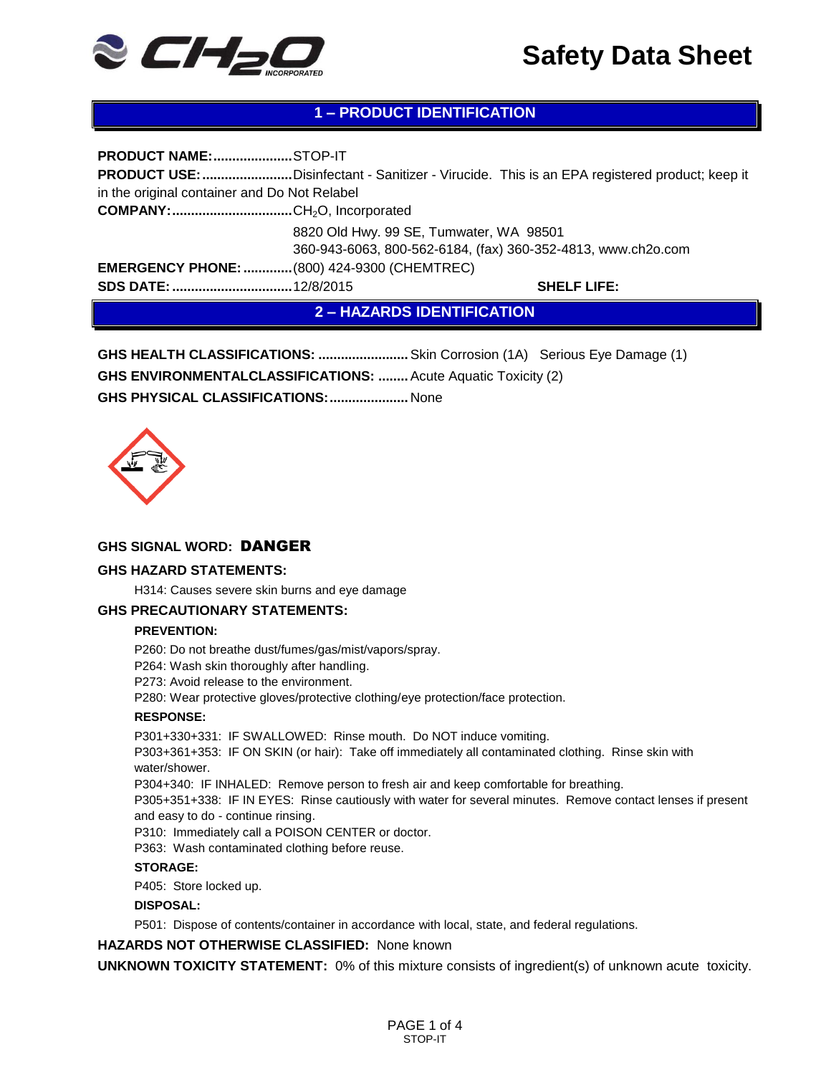

# **1 – PRODUCT IDENTIFICATION**

**PRODUCT NAME:.....................**STOP-IT **PRODUCT USE:........................**Disinfectant - Sanitizer - Virucide. This is an EPA registered product; keep it in the original container and Do Not Relabel **COMPANY:................................**CH2O, Incorporated 8820 Old Hwy. 99 SE, Tumwater, WA 98501 360-943-6063, 800-562-6184, (fax) 360-352-4813, www.ch2o.com **EMERGENCY PHONE:.............**(800) 424-9300 (CHEMTREC) **SDS DATE:................................**12/8/2015 **SHELF LIFE: 2 – HAZARDS IDENTIFICATION**

**GHS HEALTH CLASSIFICATIONS: ........................**Skin Corrosion (1A) Serious Eye Damage (1) **GHS ENVIRONMENTALCLASSIFICATIONS: ........**Acute Aquatic Toxicity (2) **GHS PHYSICAL CLASSIFICATIONS:.....................** None



## **GHS SIGNAL WORD:** DANGER

#### **GHS HAZARD STATEMENTS:**

H314: Causes severe skin burns and eye damage

#### **GHS PRECAUTIONARY STATEMENTS:**

#### **PREVENTION:**

P260: Do not breathe dust/fumes/gas/mist/vapors/spray.

P264: Wash skin thoroughly after handling.

P273: Avoid release to the environment.

P280: Wear protective gloves/protective clothing/eye protection/face protection.

#### **RESPONSE:**

P301+330+331: IF SWALLOWED: Rinse mouth. Do NOT induce vomiting.

P303+361+353: IF ON SKIN (or hair): Take off immediately all contaminated clothing. Rinse skin with water/shower.

P304+340: IF INHALED: Remove person to fresh air and keep comfortable for breathing.

P305+351+338: IF IN EYES: Rinse cautiously with water for several minutes. Remove contact lenses if present and easy to do - continue rinsing.

P310: Immediately call a POISON CENTER or doctor.

P363: Wash contaminated clothing before reuse.

### **STORAGE:**

P405: Store locked up.

#### **DISPOSAL:**

P501: Dispose of contents/container in accordance with local, state, and federal regulations.

**HAZARDS NOT OTHERWISE CLASSIFIED:** None known

**UNKNOWN TOXICITY STATEMENT:** 0% of this mixture consists of ingredient(s) of unknown acute toxicity.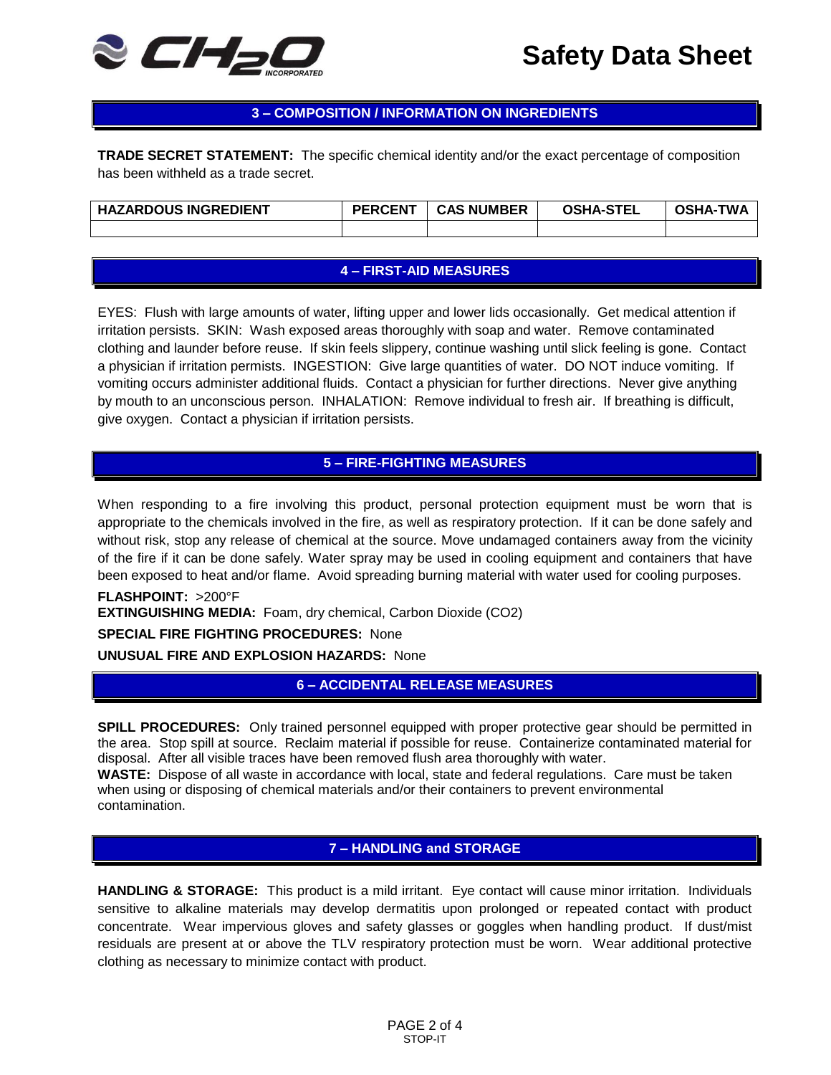

## **3 – COMPOSITION / INFORMATION ON INGREDIENTS**

**TRADE SECRET STATEMENT:** The specific chemical identity and/or the exact percentage of composition has been withheld as a trade secret.

| <b>HAZARDOUS INGREDIENT</b> | <b>PERCENT</b> | <b>CAS NUMBER</b> | <b>OSHA-STEL</b> | TWA<br><b>OSHA-</b> |
|-----------------------------|----------------|-------------------|------------------|---------------------|
|                             |                |                   |                  |                     |

## **4 – FIRST-AID MEASURES**

EYES: Flush with large amounts of water, lifting upper and lower lids occasionally. Get medical attention if irritation persists. SKIN: Wash exposed areas thoroughly with soap and water. Remove contaminated clothing and launder before reuse. If skin feels slippery, continue washing until slick feeling is gone. Contact a physician if irritation permists. INGESTION: Give large quantities of water. DO NOT induce vomiting. If vomiting occurs administer additional fluids. Contact a physician for further directions. Never give anything by mouth to an unconscious person. INHALATION: Remove individual to fresh air. If breathing is difficult, give oxygen. Contact a physician if irritation persists.

## **5 – FIRE-FIGHTING MEASURES**

When responding to a fire involving this product, personal protection equipment must be worn that is appropriate to the chemicals involved in the fire, as well as respiratory protection. If it can be done safely and without risk, stop any release of chemical at the source. Move undamaged containers away from the vicinity of the fire if it can be done safely. Water spray may be used in cooling equipment and containers that have been exposed to heat and/or flame. Avoid spreading burning material with water used for cooling purposes.

### **FLASHPOINT:** >200°F

**EXTINGUISHING MEDIA:** Foam, dry chemical, Carbon Dioxide (CO2)

### **SPECIAL FIRE FIGHTING PROCEDURES:** None

**UNUSUAL FIRE AND EXPLOSION HAZARDS:** None

**6 – ACCIDENTAL RELEASE MEASURES**

**SPILL PROCEDURES:** Only trained personnel equipped with proper protective gear should be permitted in the area. Stop spill at source. Reclaim material if possible for reuse. Containerize contaminated material for disposal. After all visible traces have been removed flush area thoroughly with water.

**WASTE:** Dispose of all waste in accordance with local, state and federal regulations. Care must be taken when using or disposing of chemical materials and/or their containers to prevent environmental contamination.

## **7 – HANDLING and STORAGE**

**HANDLING & STORAGE:** This product is a mild irritant. Eye contact will cause minor irritation. Individuals sensitive to alkaline materials may develop dermatitis upon prolonged or repeated contact with product concentrate. Wear impervious gloves and safety glasses or goggles when handling product. If dust/mist residuals are present at or above the TLV respiratory protection must be worn. Wear additional protective clothing as necessary to minimize contact with product.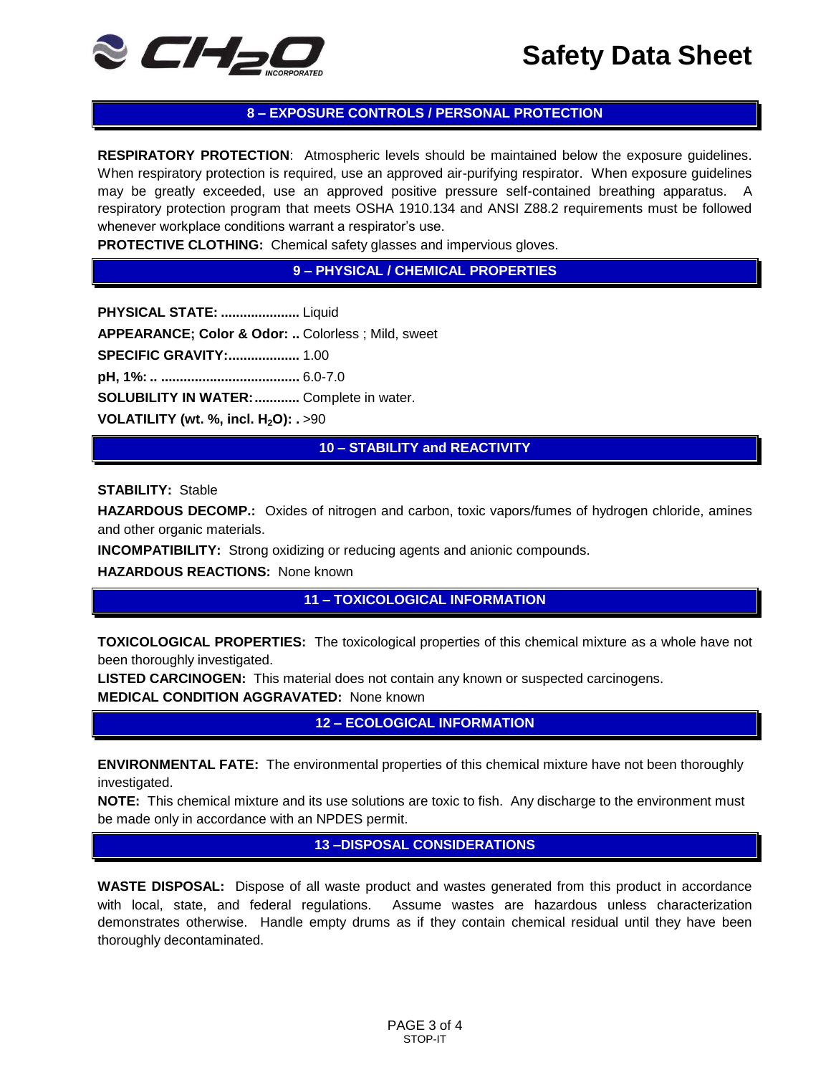

# **8 – EXPOSURE CONTROLS / PERSONAL PROTECTION**

**RESPIRATORY PROTECTION**: Atmospheric levels should be maintained below the exposure guidelines. When respiratory protection is required, use an approved air-purifying respirator. When exposure guidelines may be greatly exceeded, use an approved positive pressure self-contained breathing apparatus. A respiratory protection program that meets OSHA 1910.134 and ANSI Z88.2 requirements must be followed whenever workplace conditions warrant a respirator's use.

**PROTECTIVE CLOTHING:** Chemical safety glasses and impervious gloves.

**9 – PHYSICAL / CHEMICAL PROPERTIES**

**PHYSICAL STATE: .....................** Liquid **APPEARANCE; Color & Odor: ..** Colorless ; Mild, sweet **SPECIFIC GRAVITY:...................** 1.00 **pH, 1%: .. .....................................** 6.0-7.0 **SOLUBILITY IN WATER:............** Complete in water. **VOLATILITY (wt. %, incl. H2O): .** >90

**10 – STABILITY and REACTIVITY**

**STABILITY:** Stable

**HAZARDOUS DECOMP.:** Oxides of nitrogen and carbon, toxic vapors/fumes of hydrogen chloride, amines and other organic materials.

**INCOMPATIBILITY:** Strong oxidizing or reducing agents and anionic compounds.

**HAZARDOUS REACTIONS:** None known

**11 – TOXICOLOGICAL INFORMATION**

**TOXICOLOGICAL PROPERTIES:** The toxicological properties of this chemical mixture as a whole have not been thoroughly investigated.

**LISTED CARCINOGEN:** This material does not contain any known or suspected carcinogens. **MEDICAL CONDITION AGGRAVATED:** None known

**12 – ECOLOGICAL INFORMATION**

**ENVIRONMENTAL FATE:** The environmental properties of this chemical mixture have not been thoroughly investigated.

**NOTE:** This chemical mixture and its use solutions are toxic to fish. Any discharge to the environment must be made only in accordance with an NPDES permit.

**13 –DISPOSAL CONSIDERATIONS**

**WASTE DISPOSAL:** Dispose of all waste product and wastes generated from this product in accordance with local, state, and federal regulations. Assume wastes are hazardous unless characterization demonstrates otherwise. Handle empty drums as if they contain chemical residual until they have been thoroughly decontaminated.